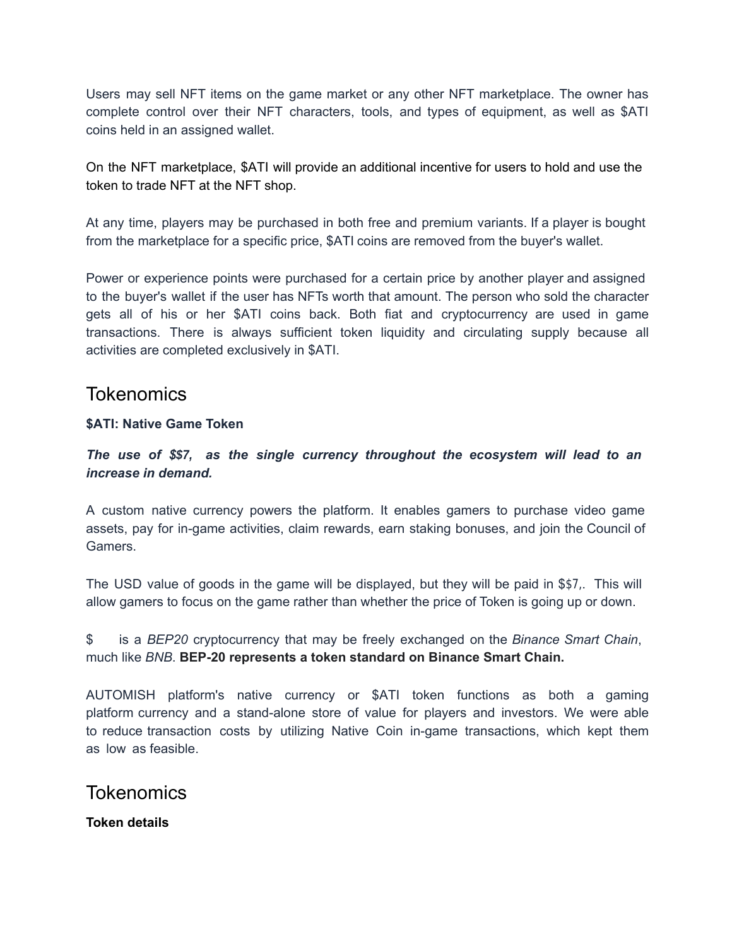Users may sell NFT items on the game market or any other NFT marketplace. The owner has complete control over their NFT characters, tools, and types of equipment, as well as \$ATI coins held in an assigned wallet.

On the NFT marketplace, \$ATI will provide an additional incentive for users to hold and use the token to trade NFT at the NFT shop.

At any time, players may be purchased in both free and premium variants. If a player is bought from the marketplace for a specific price, \$ATI coins are removed from the buyer's wallet.

Power or experience points were purchased for a certain price by another player and assigned to the buyer's wallet if the user has NFTs worth that amount. The person who sold the character gets all of his or her \$ATI coins back. Both fiat and cryptocurrency are used in game transactions. There is always sufficient token liquidity and circulating supply because all activities are completed exclusively in \$ATI.

# **Tokenomics**

### **\$ATI: Native Game Token**

*The use of \$AT, as the single currency throughout the ecosystem will lead to an increase in demand.*

A custom native currency powers the platform. It enables gamers to purchase video game assets, pay for in-game activities, claim rewards, earn staking bonuses, and join the Council of Gamers.

The USD value of goods in the game will be displayed, but they will be paid in \$ATI. This will allow gamers to focus on the game rather than whether the price of Token is going up or down.

\$ATI is a *BEP20* cryptocurrency that may be freely exchanged on the *Binance Smart Chain*, much like *BNB*. **BEP-20 represents a token standard on Binance Smart Chain.**

AUTOMISH platform's native currency or \$ATI token functions as both a gaming platform currency and a stand-alone store of value for players and investors. We were able to reduce transaction costs by utilizing Native Coin in-game transactions, which kept them as low as feasible.

# **Tokenomics**

**Token details**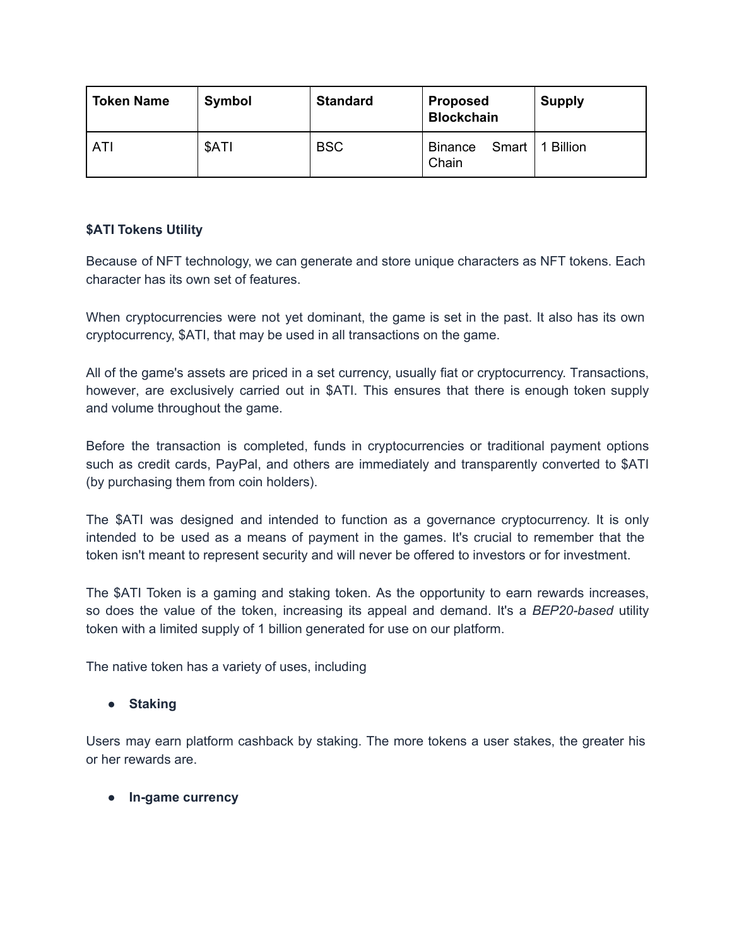| <b>Token Name</b> | Symbol | <b>Standard</b> | <b>Proposed</b><br><b>Blockchain</b> | <b>Supply</b>  |
|-------------------|--------|-----------------|--------------------------------------|----------------|
| ATI               | \$ATI  | <b>BSC</b>      | Smart<br>Binance<br>Chain            | <b>Billion</b> |

## **\$ATI Tokens Utility**

Because of NFT technology, we can generate and store unique characters as NFT tokens. Each character has its own set of features.

When cryptocurrencies were not yet dominant, the game is set in the past. It also has its own cryptocurrency, \$ATI, that may be used in all transactions on the game.

All of the game's assets are priced in a set currency, usually fiat or cryptocurrency. Transactions, however, are exclusively carried out in \$ATI. This ensures that there is enough token supply and volume throughout the game.

Before the transaction is completed, funds in cryptocurrencies or traditional payment options such as credit cards, PayPal, and others are immediately and transparently converted to \$ATI (by purchasing them from coin holders).

The \$ATI was designed and intended to function as a governance cryptocurrency. It is only intended to be used as a means of payment in the games. It's crucial to remember that the token isn't meant to represent security and will never be offered to investors or for investment.

The \$ATI Token is a gaming and staking token. As the opportunity to earn rewards increases, so does the value of the token, increasing its appeal and demand. It's a *BEP20-based* utility token with a limited supply of 1 billion generated for use on our platform.

The native token has a variety of uses, including

### **● Staking**

Users may earn platform cashback by staking. The more tokens a user stakes, the greater his or her rewards are.

#### **● In-game currency**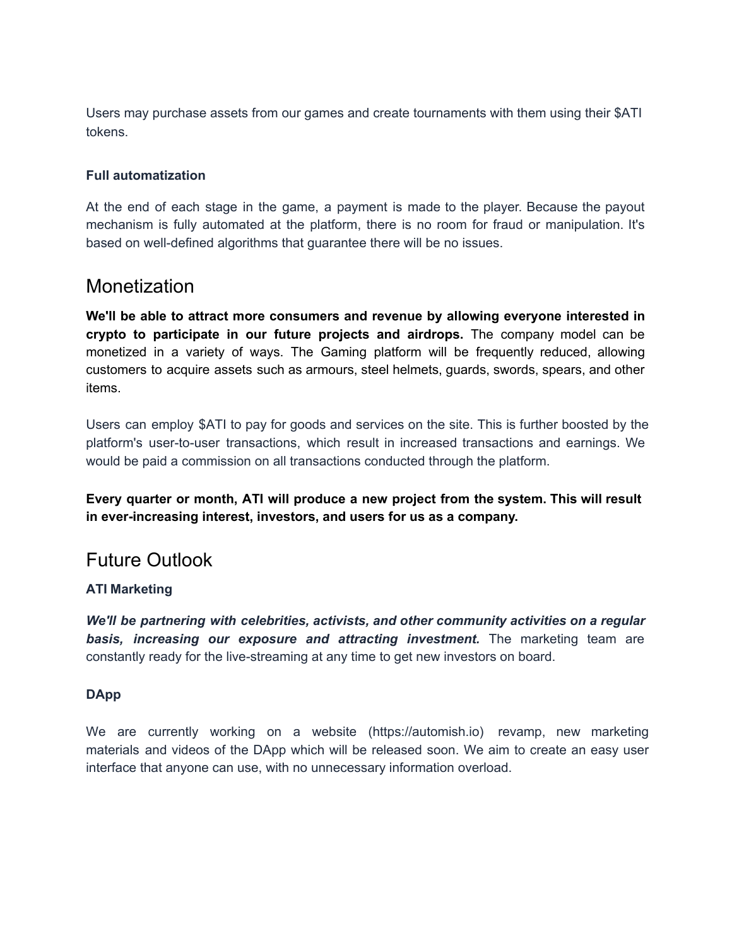Users may purchase assets from our games and create tournaments with them using their \$ATI tokens.

#### **Full automatization**

At the end of each stage in the game, a payment is made to the player. Because the payout mechanism is fully automated at the platform, there is no room for fraud or manipulation. It's based on well-defined algorithms that guarantee there will be no issues.

# **Monetization**

**We'll be able to attract more consumers and revenue by allowing everyone interested in crypto to participate in our future projects and airdrops.** The company model can be monetized in a variety of ways. The Gaming platform will be frequently reduced, allowing customers to acquire assets such as armours, steel helmets, guards, swords, spears, and other items.

Users can employ \$ATI to pay for goods and services on the site. This is further boosted by the platform's user-to-user transactions, which result in increased transactions and earnings. We would be paid a commission on all transactions conducted through the platform.

**Every quarter or month, ATI will produce a new project from the system. This will result in ever-increasing interest, investors, and users for us as a company.**

# Future Outlook

### **ATI Marketing**

*We'll be partnering with celebrities, activists, and other community activities on a regular basis, increasing our exposure and attracting investment.* The marketing team are constantly ready for the live-streaming at any time to get new investors on board.

#### **DApp**

We are currently working on a website (https://automish.io) revamp, new marketing materials and videos of the DApp which will be released soon. We aim to create an easy user interface that anyone can use, with no unnecessary information overload.